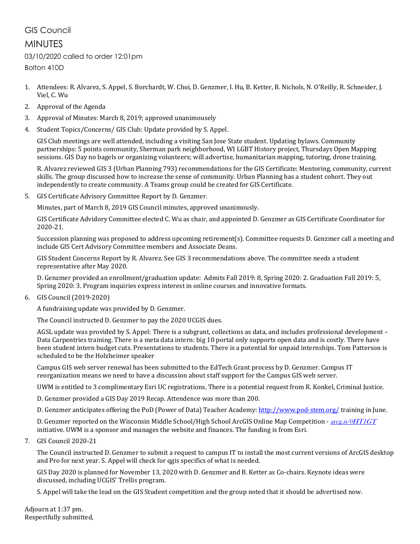## GIS Council

## MINUTES

## 03/10/2020 called to order 12:01pm

Bolton 410D

- 1. Attendees: R. Alvarez, S. Appel, S. Borchardt, W. Choi, D. Genzmer, I. Hu, B. Ketter, B. Nichols, N. O'Reilly, R. Schneider, J. Viel, C. Wu
- 2. Approval of the Agenda
- 3. Approval of Minutes: March 8, 2019; approved unanimousely
- 4. Student Topics/Concerns/ GIS Club: Update provided by S. Appel.

GIS Club meetings are well attended, including a visiting San Jose State student. Updating bylaws. Community partnerships: 5 points community, Sherman park neighborhood, WI LGBT History project, Thursdays Open Mapping sessions. GIS Day no bagels or organizing volunteers; will advertise, humanitarian mapping, tutoring, drone training.

R. Alvarez reviewed GIS 3 (Urban Planning 793) recommendations for the GIS Certificate: Mentoring, community, current skills. The group discussed how to increase the sense of community. Urban Planning has a student cohort. They out independently to create community. A Teams group could be created for GIS Certificate.

5. GIS Certificate Advisory Committee Report by D. Genzmer.

Minutes, part of March 8, 2019 GIS Council minutes, approved unanimously.

GIS Certificate Advidory Committee elected C. Wu as chair, and appointed D. Genzmer as GIS Certificate Coordinator for 2020-21.

Succession planning was proposed to address upcoming retirement(s). Committee requests D. Genzmer call a meeting and include GIS Cert Advisory Committee members and Associate Deans.

GIS Student Concerns Report by R. Alvarez. See GIS 3 recommendations above. The committee needs a student representative after May 2020.

D. Genzmer provided an enrollment/graduation update: Admits Fall 2019: 8, Spring 2020: 2. Graduation Fall 2019: 5, Spring 2020: 3. Program inquiries express interest in online courses and innovative formats.

6. GIS Council (2019-2020)

A fundraising update was provided by D. Genzmer.

The Council instructed D. Genzmer to pay the 2020 UCGIS dues.

AGSL update was provided by S. Appel: There is a subgrant, collections as data, and includes professional development – Data Carpentries training. There is a meta data intern: big 10 portal only supports open data and is costly. There have been student intern budget cuts. Presentations to students. There is a potential for unpaid internships. Tom Patterson is scheduled to be the Holzheimer speaker

Campus GIS web server renewal has been submitted to the EdTech Grant process by D. Genzmer. Campus IT reorganization means we need to have a discussion about staff support for the Campus GIS web server.

UWM is entitled to 3 complimentary Esri UC registrations, There is a potential request from R. Konkel, Criminal Justice.

D. Genzmer provided a GIS Day 2019 Recap. Attendence was more than 200.

D. Genzmer anticipates offering the PoD (Power of Data) Teacher Academy[: http://www.pod-stem.org/](http://www.pod-stem.org/) training in June.

D. Genzmer reported on the Wisconsin Middle School/High School ArcGIS Online Map Competition - [arcg.is/0HT1GT](https://arcg.is/0HT1GT) initiative. UWM is a sponsor and manages the website and finances. The funding is from Esri.

7. GIS Council 2020-21

The Council instructed D. Genzmer to submit a request to campus IT to install the most current versions of ArcGIS desktop and Pro for next year. S. Appel will check for qgis specifics of what is needed.

GIS Day 2020 is planned for November 13, 2020 with D. Genzmer and B. Ketter as Co-chairs. Keynote ideas were discussed, including UCGIS' Trellis program.

S. Appel will take the lead on the GIS Student competition and the group noted that it should be advertised now.

Adjourn at 1:37 pm. Respectfully submitted,